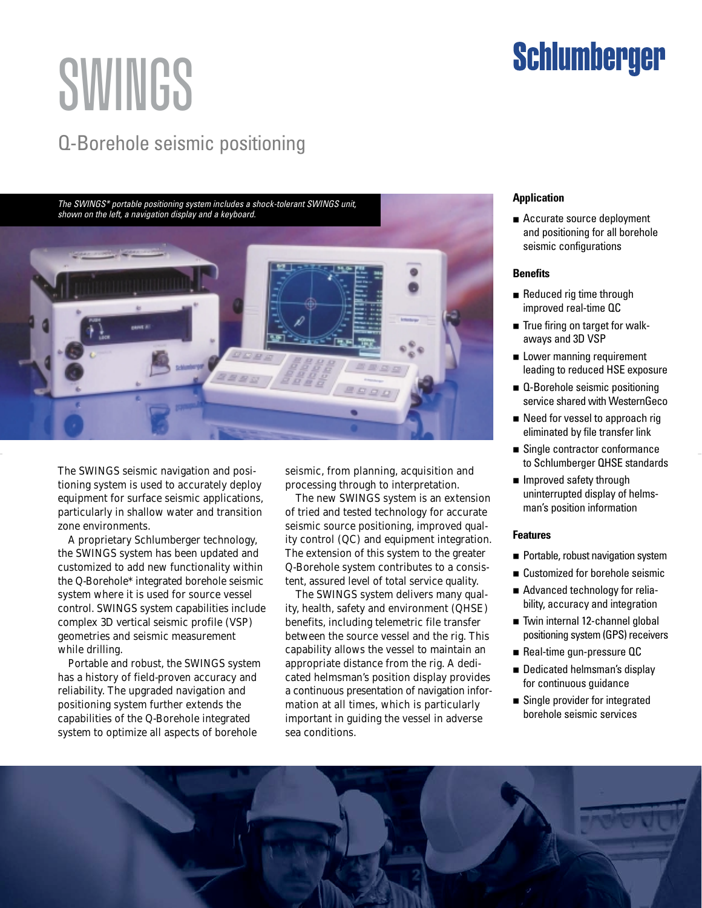# SWINGS

### Q-Borehole seismic positioning

The SWINGS\* portable positioning system includes a shock-tolerant SWINGS unit, shown on the left, a navigation display and a keyboard.



The SWINGS seismic navigation and positioning system is used to accurately deploy equipment for surface seismic applications, particularly in shallow water and transition zone environments.

A proprietary Schlumberger technology, the SWINGS system has been updated and customized to add new functionality within the Q-Borehole\* integrated borehole seismic system where it is used for source vessel control. SWINGS system capabilities include complex 3D vertical seismic profile (VSP) geometries and seismic measurement while drilling.

Portable and robust, the SWINGS system has a history of field-proven accuracy and reliability. The upgraded navigation and positioning system further extends the capabilities of the Q-Borehole integrated system to optimize all aspects of borehole

seismic, from planning, acquisition and processing through to interpretation.

The new SWINGS system is an extension of tried and tested technology for accurate seismic source positioning, improved quality control (QC) and equipment integration. The extension of this system to the greater Q-Borehole system contributes to a consistent, assured level of total service quality.

The SWINGS system delivers many quality, health, safety and environment (QHSE) benefits, including telemetric file transfer between the source vessel and the rig. This capability allows the vessel to maintain an appropriate distance from the rig. A dedicated helmsman's position display provides a continuous presentation of navigation information at all times, which is particularly important in guiding the vessel in adverse sea conditions.

#### **Application**

■ Accurate source deployment and positioning for all borehole seismic configurations

**Schlumberger** 

#### **Benefits**

- Reduced rig time through improved real-time QC
- True firing on target for walkaways and 3D VSP
- Lower manning requirement leading to reduced HSE exposure
- Q-Borehole seismic positioning service shared with WesternGeco
- Need for vessel to approach rig eliminated by file transfer link
- Single contractor conformance to Schlumberger QHSE standards
- Improved safety through uninterrupted display of helmsman's position information

#### **Features**

- Portable, robust navigation system
- Customized for borehole seismic
- Advanced technology for reliability, accuracy and integration
- Twin internal 12-channel global positioning system (GPS) receivers
- Real-time gun-pressure QC
- Dedicated helmsman's display for continuous guidance
- Single provider for integrated borehole seismic services